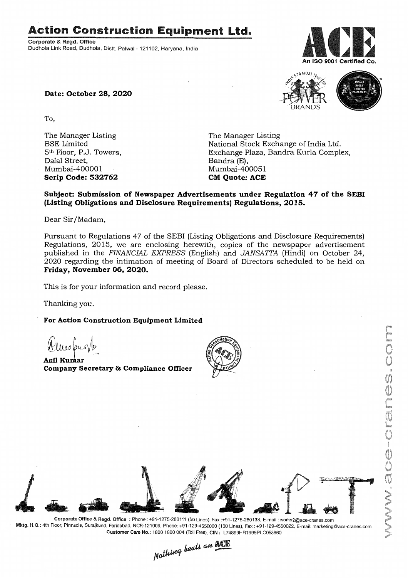Action Construction Equipment Ltd..

Corporate & Regd. Office Dudhola Link Road, Dudhola, Distt. Palwal - 121102, Haryana, India



Date: October 28, 2020

To,

The Manager Listing BSE Limited 5th Floor, P.J. Towers, Dalal Street, Mumbai-400001 Scrip Code: 532762

The Manager Listing National Stock Exchange of India Ltd. Exchange Plaza, Bandra Kurla Complex, Bandra (E), Mumbai-400051 **CM** Ouote: ACE

BRANDS

S<sub>10</sub> MOST TRUS

# Subject: Submission of Newspaper Advertisements under Regulation 47 of the SEBI (Listing Obligations and Disclosure Requirements) Regulations, 2015.

Dear Sir/Madam,

Pursuant to Regulations 47 of the SEBI (Listing Obligations and Disclosure Requirements) Regulations, 2015, we are enclosing herewith, copies of the newspaper advertisement published in the *FINANCIAL EXPRESS* (English) and *JANSAITA* (Hindi) on October 24, 2020 regarding the intimation of meeting of Board of Directors scheduled to be held on Friday, November 06,2020.

This is for your information and record please.

Thanking you.

For Action Construction Equipment Limited

Almedralo

Anil Kumar Company Secretary & Compliance Officer





Corporate Office & Regd. Office: Phone: +91-1275-280111 (50 Lines), Fax:+91-1275-280133, E-mail: works2@ace-cranes.com Mktg. H.Q.: 4th Floor, Pinnacle, Surajkund, Faridabad, NCR-121009, Phone: +91-129-4550000 (100 Lines), Fax: +91-129-4550022, E-mail: marketing@ace-cranes.com Customer Care No.: 1800 1800004 (Toll Free), CIN: L74899HR1995PLC053860

Nothing beats an ACE

MISSION SONAL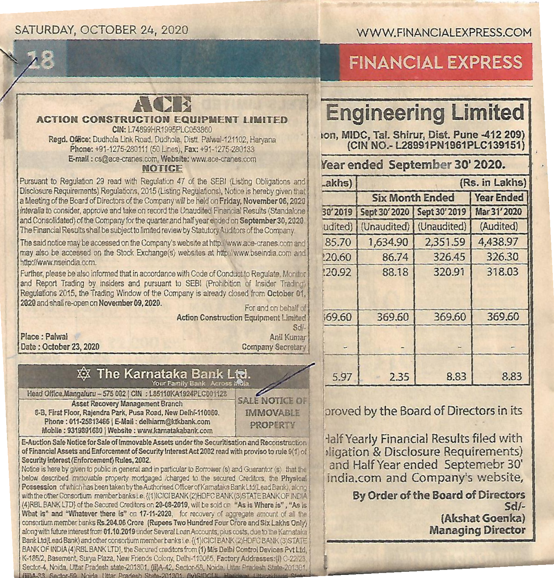## SATURDAY, OCTOBER 24, 2020

### WWW.FINANCIALEXPRESS.COM



# **FINANCIAL EXPRESS**

# **ACTION CONSTRUCTION FOUIPMENT LIMITED**

CIN: | 74899HR1995PLC053860 Regd. Office: Dudhola Link Road, Dudhola, Distt. Palwal-121102, Harvana Phone: +91-1275-280111 (50 Lines), Fax: +91-1275-280133 E-mail: cs@ace-cranes.com, Website: www.ace-cranes.com

#### **NOTICE**

Pursuant to Regulation 29 read with Regulation 47 of the SEBI (Listing Obligations and Disclosure Requirements) Regulations, 2015 (Listing Regulations), Notice is hereby given that a Meeting of the Board of Directors of the Company will be held on Friday, November 06, 2020 interalia to consider, approve and take on record the Unaudited Financial Results (Standalone and Consolidated) of the Company for the quarter and half year ended on September 30, 2020 The Financial Results shall be subject to limited review by Statutory Auditors of the Company.

The said notice may be accessed on the Company's website at http://www.ace-cranes.com and may also be accessed on the Stock Exchange(s) websites at http://www.bseindia.com and http://www.nseindia.com.

Further, please be also informed that in accordance with Code of Conduct to Regulate, Monitor and Report Trading by insiders and pursuant to SEBI (Prohibition of Insider Trading) Regulations 2015, the Trading Window of the Company is already closed from October 01, 2020 and shall re-open on November 09, 2020.

For and on behalf of **Action Construction Equipment Limited** 

Place : Palwal Date: October 23, 2020

Sdl-Anil Kumar **Company Secretary** 

#### **xx The Karnataka Bank L** Your Family Bank Across India

Head Office, Mangaluru -- 575 002 | CIN : L85110KA1924PLC001128 **Asset Recovery Management Branch** 8-B. First Floor, Raiendra Park, Pusa Road, New Delhi-110060. Phone: 011-25813466 | E-Mail: delhiarm@ktkbank.com Mobile: 9319891680 | Website: www.karnatakahank.com

**SALE NOTICE OF IMMOVABLE PROPERTY** 

E-Auction Sale Notice for Sale of Immovable Assets under the Securitisation and Reconstruction of Financial Assets and Enforcement of Security Interest Act 2002 read with proviso to rule 9(1) of Security interest (Enforcement) Rules, 2002.

Notice is here by given to public in general and in particular to Borrower (s) and Guarantor (s) that the below described immovable property mortgaged icharged to the secured Creditors, the Physical Possession of which has been taken by the Authorised Officer of Karnataka Bank Ltd(Lead Bank), along with the other Consortium member banks i.e. {(1)ICICI BANK (2)HDFC BANK (3)STATE BANK OF INDIA (4) RBL BANK LTD) of the Secured Creditors on 20-08-2019, will be sold on "As is Where is", "As is What is" and "Whatever there is" on 17-11-2020, for recovery of aggregate amount of all the consortium member banks Rs.204.06 Crore (Rupees Two Hundred Four Crore and Six Lakhs Only) along with future interest from 01.10.2019 under Several Loan Accounts, plus costs, due to the Karnataka Bank Ltd(Lead Bank) and other consortium member banks i.e. {(1)ICICIBANK (2)HDFC BANK (3)STATE BANK OF INDIA (4)RBL BANK LTD), the Secured creditors from (1) M/s Delhi Control Devices Pyt Ltd. K-185/2, Basement, Surya Plaza, New Friends Colony, Delhi-110065, Factory Addresses:(ii) C-22/23 Sector-4, Noida, Uttar Pradesh state-201301, (ii)A-42, Sector-58, Noida, Uttar Pradesh State-20130 (iii)A-33 Sector-59 Noida Ultar Pradesh State-201301 (iv)SIDCUL

# **Engineering Limited**

ion, MIDC, Tal. Shirur, Dist. Pune -412 209) (CIN NO.- L28991PN1961PLC139151)

# Year ended September 30' 2020.

| _akhs)  | (Rs. in Lakhs)         |               |                   |
|---------|------------------------|---------------|-------------------|
|         | <b>Six Month Ended</b> |               | <b>Year Ended</b> |
| 30'2019 | Sept 30' 2020          | Sept 30' 2019 | Mar 31' 2020      |
| udited) | (Unaudited)            | (Unaudited)   | (Audited)         |
| 85.70   | 1.634.90               | 2,351.59      | 4,438.97          |
| 120.60  | 86.74                  | 326.45        | 326.30            |
| 120.92  | 88.18                  | 320.91        | 318.03            |
|         |                        |               |                   |
| 169.60  | 369.60                 | 369.60        | 369.60            |
|         |                        |               | <b>PA</b>         |
| 5.97    | 2.35                   | 8.83          | 8.83              |

## proved by the Board of Directors in its

Half Yearly Financial Results filed with Iligation & Disclosure Requirements) and Half Year ended Septemebr 30' india.com and Company's website,

> **By Order of the Board of Directors**  $Sd/-$ (Akshat Goenka) **Managing Director**